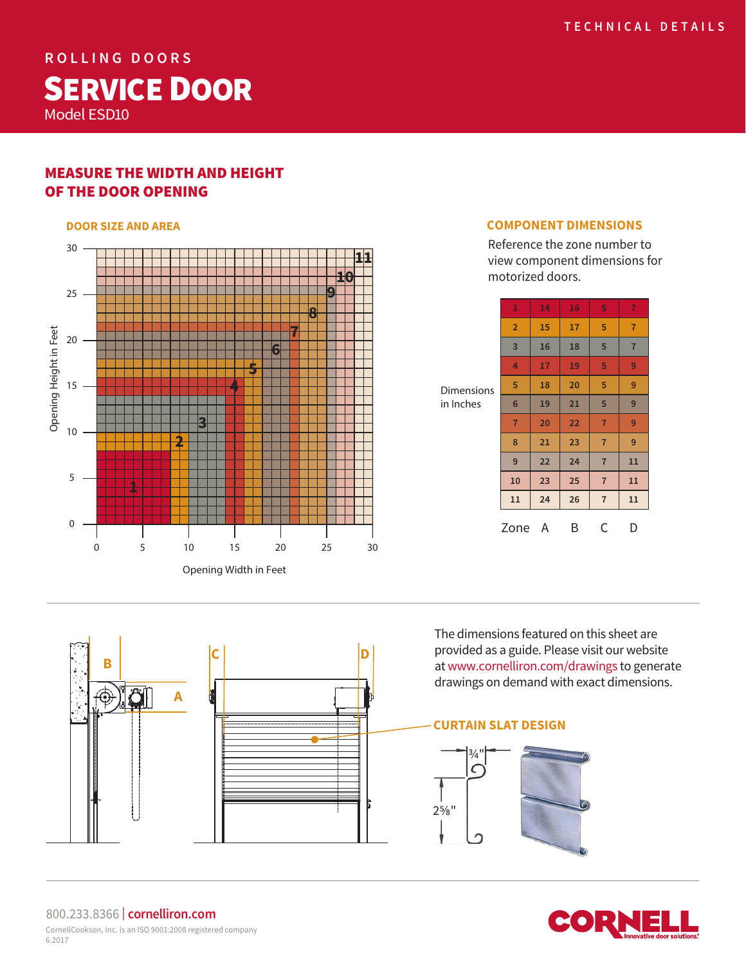**ROLLING DOORS** SERVICE DOOR Model ESD10

# MEASURE THE WIDTH AND HEIGHT OF THE DOOR OPENING

#### **DOOR SIZE AND AREA**



#### **COMPONENT DIMENSIONS**

Reference the zone number to view component dimensions for motorized doors.

| <b>Dimensions</b><br>in Inches | $\mathbf{1}$    | 14 | 16 | 5              | $\overline{7}$ |
|--------------------------------|-----------------|----|----|----------------|----------------|
|                                | $\overline{2}$  | 15 | 17 | 5              | $\overline{7}$ |
|                                | 3               | 16 | 18 | 5              | $\overline{7}$ |
|                                | 4               | 17 | 19 | 5              | 9              |
|                                | 5               | 18 | 20 | 5              | 9              |
|                                | $6\phantom{1}6$ | 19 | 21 | 5              | 9              |
|                                | $\overline{7}$  | 20 | 22 | $\overline{7}$ | 9              |
|                                | 8               | 21 | 23 | $\overline{7}$ | 9              |
|                                | 9               | 22 | 24 | $\overline{7}$ | 11             |
|                                | 10              | 23 | 25 | $\overline{7}$ | 11             |
|                                | 11              | 24 | 26 | $\overline{7}$ | 11             |
|                                | Zone            | A  | Β  | С              | D              |

The dimensions featured on this sheet are provided as a guide. Please visit our website at www.cornelliron.com/drawings to generate drawings on demand with exact dimensions.

# **CURTAIN SLAT DESIGN**





#### 800.233.8366 | **cornelliron.com** CornellCookson, Inc. is an ISO 9001:2008 registered company 6.2017

**A**

**B C D D**